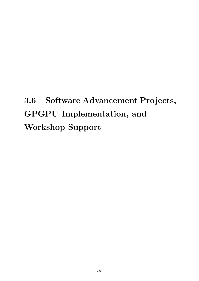# 3.6 Software Advancement Projects, GPGPU Implementation, and Workshop Support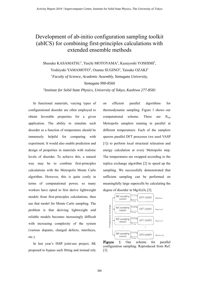# Development of ab-initio configuration sampling toolkit (abICS) for combining first-principles calculations with extended ensemble methods

Shusuke KASAMATSU<sup>1</sup>, Yuichi MOTOYAMA<sup>2</sup>, Kazuyoshi YOSHIMI<sup>2</sup>,

Yoshiyuki YAMAMOTO<sup>2</sup>, Osamu SUGINO<sup>2</sup>, Taisuke OZAKI<sup>2</sup>

*<sup>1</sup>Faculty of Science, Academic Assembly, Yamagata University,*

*Yamagata 990-8560*

*2 Institute for Solid State Physics, University of Tokyo, Kashiwa 277-8581*

In functional materials, varying types of configurational disorder are often employed to obtain favorable properties for a given application. The ability to simulate such disorder as a function of temperature should be immensely helpful for comparing with experiment. It would also enable prediction and design of properties in materials with realistic levels of disorder. To achieve this, a natural way may be to combine first-principles calculations with the Metropolis Monte Carlo algorithm. However, this is quite costly in terms of computational power, so many workers have opted to first derive lightweight models from first-principles calculations, then use that model for Monte Carlo sampling. The problem is that deriving lightweight *and* reliable models becomes increasingly difficult with increasing complexity of the system (various dopants, charged defects, interfaces, etc.).

In last year's ISSP joint-use project, SK proposed to bypass such fitting and instead rely on efficient parallel algorithms for thermodynamic sampling. Figure 1 shows our computational scheme. There are *N*rep Metropolis samplers running in parallel at different temperatures. Each of the samplers spawns parallel DFT processes (we used VASP [1]) to perform local structural relaxation and energy calculation at every Metropolis step. The temperatures are swapped according to the replica exchange algorithm [2] to speed up the sampling. We successfully demonstrated that sufficient sampling can be performed on meaningfully large supercells by calculating the degree of disorder in  $MgAl<sub>2</sub>O<sub>4</sub>$  [3].



Figure 1 Our scheme for parallel configuration sampling. Reproduced from Ref. [3].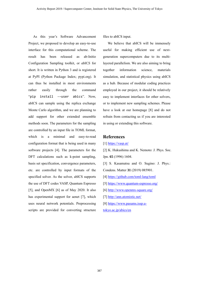As this year's Software Advancement Project, we proposed to develop an easy-to-use interface for this computational scheme. The result has been released as ab-Initio Configuration Sampling toolkit, or *abICS* for short. It is written in Python 3 and is registered at PyPI (Python Package Index; pypi.org). It can thus be installed in most environments rather easily through the command "pip install -–user abics". Now, abICS can sample using the replica exchange Monte Carlo algorithm, and we are planning to add support for other extended ensemble methods soon. The parameters for the sampling are controlled by an input file in TOML format, which is a minimal and easy-to-read configuration format that is being used in many software projects [4]. The parameters for the DFT calculations such as k-point sampling, basis set specification, convergence parameters, etc. are controlled by input formats of the specified solver. As the solver, abICS supports the use of DFT codes VASP, Quantum Espresso [5], and OpenMX [6] as of May 2020. It also has experimental support for aenet [7], which uses neural network potentials. Preprocessing scripts are provided for converting structure

files to abICS input.

We believe that abICS will be immensely useful for making efficient use of nextgeneration supercomputers due to its multilayered parallelism. We are also aiming to bring together information science, materials simulation, and statistical physics using abICS as a hub. Because of modular coding practices employed in our project, it should be relatively easy to implement interfaces for other solvers, or to implement new sampling schemes. Please have a look at our homepage [8] and do not refrain from contacting us if you are interested in using or extending this software.

## **References**

[1] https://vasp.at/

[2] K. Hukushima and K. Nemoto: J. Phys. Soc. Jpn. **65** (1996) 1604.

[3] S. Kasamatsu and O. Sugino: J. Phys.: Condens. Matter **31** (2019) 085901.

- [4] https://github.com/toml-lang/toml
- [5] https://www.quantum-espresso.org/
- [6] http://www.openmx-square.org/
- [7] http://ann.atomistic.net/
- [8] https://www.pasums.issp.u-
- tokyo.ac.jp/abics/en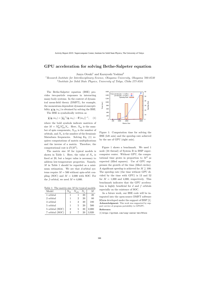## GPU acceleration for solving Bethe-Salpeter equation

Junya Otsuki<sup>1</sup> and Kazuyoshi Yoshimi<sup>2</sup>

<sup>1</sup> Research Institute for Interdisciplinary Science, Okayama University, Okayama 700-8530 <sup>2</sup>Institute for Solid State Physics, University of Tokyo, Chiba 277-8581

The Bethe-Salpeter equation (BSE) provides two-particle responses in interacting many-body systems. In the context of dynamical mean-field theory (DMFT), for example, the momentum-dependent dynamical susceptibility  $\chi(q, i\nu_n)$  is obtained by solving the BSE.

The BSE is symbolically written as

$$
\widetilde{\chi}(q, i\nu_n) = [\widetilde{\chi}_0^{-1}(q, i\nu_n) - \Gamma(i\nu_n)]^{-1}, \quad (1)
$$

where the bold symbols indicate matrices of size  $M = N_{\rm sp}^2 N_{\rm orb}^2 N_{\omega}$ . Here,  $N_{\rm sp}$  is the number of spin components,  $N_{\text{orb}}$  is the number of orbitals, and  $N_{\omega}$  is the number of the fermionic Matsubara frequencies. Solving Eq. (1) requires computations of matrix multiplications and the inverse of a matrix. Therefore, the computational cost is  $\mathcal{O}(M^3)$ .

The matrix size  $M$  for typical models is shown in Table 1. Here, the value of  $N_{\omega}$  is fixed at 20, but a larger value is necessary to address low-temperature properties. Namely, M in Table 1 should be regarded as a minimum estimation. We see that  $d$ -orbital systems require  $M = 500$  without spin-orbit coupling (SOC) and  $M = 2,000$  with SOC. For the f-orbital, we need  $M \approx 4,000$ .

Table 1: The matrix size M for typical models.

| Model           | $N_{\rm sp}$ | $N_{\rm orb}$ | $N_\omega$ |       |
|-----------------|--------------|---------------|------------|-------|
| 1 orbital       | 1            |               | 20         | 20    |
| 2 orbital       | 1            | 2             | 20         | 80    |
| 3 orbital       | 1            | З             | 20         | 180   |
| 5 orbital       | 1            | 5             | 20         | 500   |
| 5 orbital (SOC) | 2            | 5             | 20         | 2,000 |
| 7 orbital (SOC) | 2            |               | 20         | 3,920 |



Figure 1: Computation time for solving the BSE (left axis) and the speedup rate achieved by the use of GPU (right axis).

Figure 1 shows a benchmark. We used 1 node (24 thread) of System B in ISSP supercomputer center. Without GPU, the computational time grows in proportion to  $M^3$  as expected (filled squares). Use of GPU suppresses the growth of the time (filled circles). A significant speedup is achieved for  $M \gtrsim 100$ : The speedup rate (the time without GPU divided by the time with GPU) is 13 and 52 for  $M = 1,000$  and 4,000, respectively. This benchmark indicates that the GPU acceleration is highly beneficial for  $d$  and  $f$  orbitals especially on the existence of SOC.

As a future work, our BSE code will be integrated into the open-source DMFT software DCore developed under the support of ISSP [1]. Acknowledgment: This work was supported by support service of program portability to GPGPU.

#### Reference:

[1] https://github.com/issp-center-dev/DCore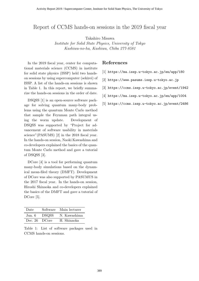## Report of CCMS hands-on sessions in the 2019 fiscal year

Takahiro Misawa

Institute for Solid State Physics, University of Tokyo Kashiwa-no-ha, Kashiwa, Chiba 277-8581

In the 2019 fiscal year, center for computational materials science (CCMS) in institute for solid state physics (ISSP) held two handson sessions by using supercomputer (sekirei) of ISSP. A list of the hands-on sessions is shown in Table 1. In this report, we briefly summarize the hands-on sessions in the order of date.

DSQSS [1] is an open-source software package for solving quantum many-body problems using the quantum Monte Carlo method that sample the Feynman path integral using the worm update. Development of DSQSS was supported by "Project for advancement of software usability in materials science"(PASUMS) [2] in the 2018 fiscal year. In the hands-on session, Naoki Kawashima and co-developers explained the basics of the quantum Monte Carlo method and gave a tutorial of DSQSS [3].

DCore [4] is a tool for performing quantum many-body simulations based on the dynamical mean-filed theory (DMFT). Development of DCore was also supported by PASUMUS in the 2017 fiscal year. In the hands-on session, Hiroshi Shinaoka and co-developers explained the basics of the DMFT and gave a tutorial of DCore [5].

| Date          |       | Software Main lecturer |
|---------------|-------|------------------------|
| Jun. 6        | DSQSS | N. Kawashima           |
| Dec. 26 DCore |       | H. Shinaoka            |

Table 1: List of software packages used in CCMS hands-on sessions.

### References

- [1] https://ma.issp.u-tokyo.ac.jp/en/app/180
- [2] https://www.pasums.issp.u-tokyo.ac.jp
- [3] https://ccms.issp.u-tokyo.ac.jp/event/1942
- [4] https://ma.issp.u-tokyo.ac.jp/en/app/1004
- [5] https://ccms.issp.u-tokyo.ac.jp/event/2486